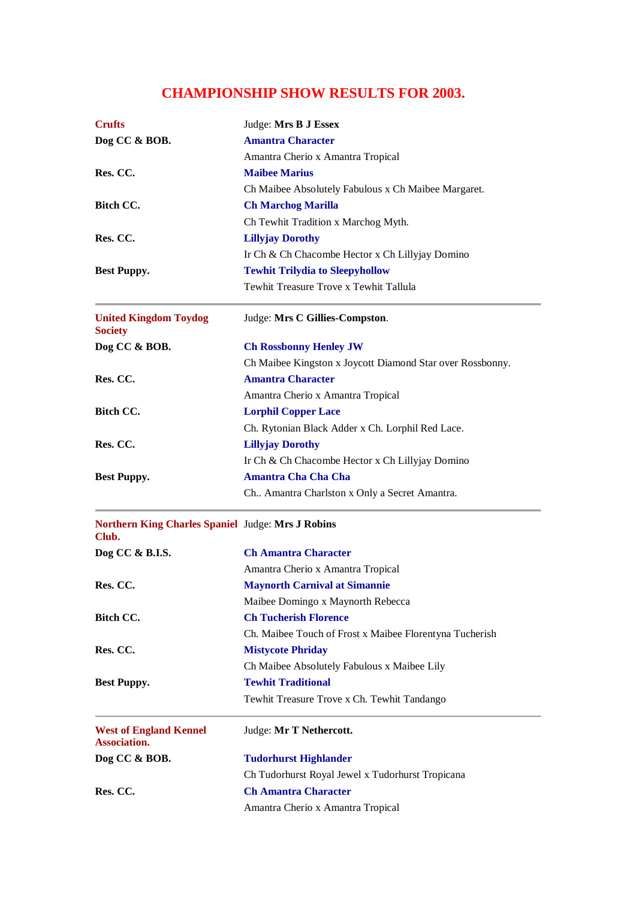## **CHAMPIONSHIP SHOW RESULTS FOR 2003.**

| <b>Crufts</b>                                              | Judge: Mrs B J Essex                                      |
|------------------------------------------------------------|-----------------------------------------------------------|
| Dog CC & BOB.                                              | <b>Amantra Character</b>                                  |
|                                                            | Amantra Cherio x Amantra Tropical                         |
| Res. CC.                                                   | <b>Maibee Marius</b>                                      |
|                                                            | Ch Maibee Absolutely Fabulous x Ch Maibee Margaret.       |
| Bitch CC.                                                  | <b>Ch Marchog Marilla</b>                                 |
|                                                            | Ch Tewhit Tradition x Marchog Myth.                       |
| Res. CC.                                                   | <b>Lillyjay Dorothy</b>                                   |
|                                                            | Ir Ch & Ch Chacombe Hector x Ch Lillyjay Domino           |
| <b>Best Puppy.</b>                                         | <b>Tewhit Trilydia to Sleepyhollow</b>                    |
|                                                            | Tewhit Treasure Trove x Tewhit Tallula                    |
| <b>United Kingdom Toydog</b><br><b>Society</b>             | Judge: Mrs C Gillies-Compston.                            |
| Dog CC & BOB.                                              | <b>Ch Rossbonny Henley JW</b>                             |
|                                                            | Ch Maibee Kingston x Joycott Diamond Star over Rossbonny. |
| Res. CC.                                                   | <b>Amantra Character</b>                                  |
|                                                            | Amantra Cherio x Amantra Tropical                         |
| Bitch CC.                                                  | <b>Lorphil Copper Lace</b>                                |
|                                                            | Ch. Rytonian Black Adder x Ch. Lorphil Red Lace.          |
| Res. CC.                                                   | <b>Lillyjay Dorothy</b>                                   |
|                                                            | Ir Ch & Ch Chacombe Hector x Ch Lillyjay Domino           |
| <b>Best Puppy.</b>                                         | <b>Amantra Cha Cha Cha</b>                                |
|                                                            | Ch Amantra Charlston x Only a Secret Amantra.             |
| Northern King Charles Spaniel Judge: Mrs J Robins<br>Club. |                                                           |
| Dog CC & B.I.S.                                            | <b>Ch Amantra Character</b>                               |
|                                                            | Amantra Cherio x Amantra Tropical                         |
| Res. CC.                                                   | <b>Maynorth Carnival at Simannie</b>                      |
|                                                            | Maibee Domingo x Maynorth Rebecca                         |
| Bitch CC.                                                  | <b>Ch Tucherish Florence</b>                              |
|                                                            | Ch. Maibee Touch of Frost x Maibee Florentyna Tucherish   |
| Res. CC.                                                   | <b>Mistycote Phriday</b>                                  |
|                                                            | Ch Maibee Absolutely Fabulous x Maibee Lily               |
| <b>Best Puppy.</b>                                         | <b>Tewhit Traditional</b>                                 |
|                                                            | Tewhit Treasure Trove x Ch. Tewhit Tandango               |
| <b>West of England Kennel</b><br><b>Association.</b>       | Judge: Mr T Nethercott.                                   |
| Dog CC & BOB.                                              | <b>Tudorhurst Highlander</b>                              |
|                                                            | Ch Tudorhurst Royal Jewel x Tudorhurst Tropicana          |
| Res. CC.                                                   | <b>Ch Amantra Character</b>                               |
|                                                            | Amantra Cherio x Amantra Tropical                         |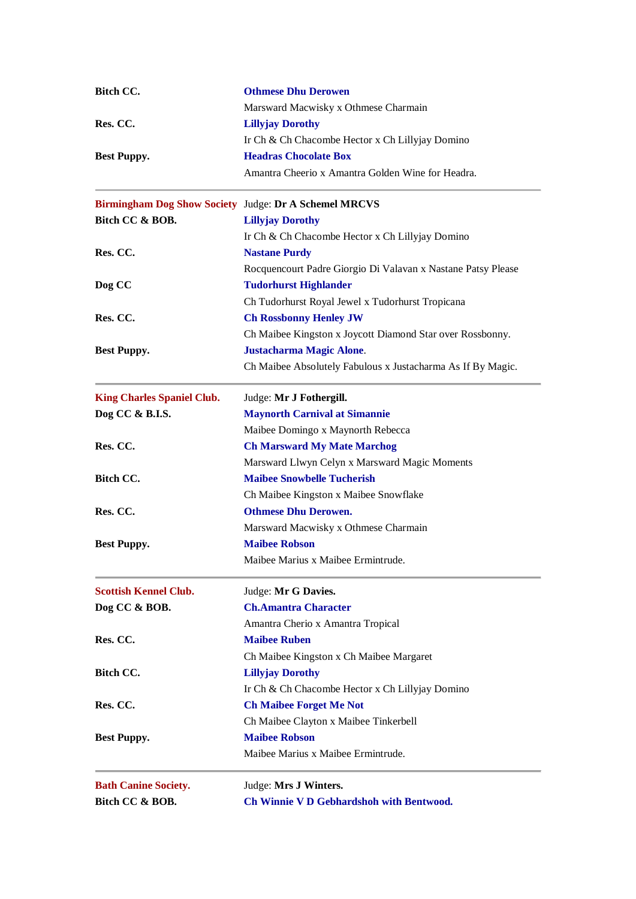| Bitch CC.                                                    | <b>Othmese Dhu Derowen</b>                                   |
|--------------------------------------------------------------|--------------------------------------------------------------|
|                                                              | Marsward Macwisky x Othmese Charmain                         |
| Res. CC.                                                     | <b>Lillyjay Dorothy</b>                                      |
|                                                              | Ir Ch & Ch Chacombe Hector x Ch Lillyjay Domino              |
| <b>Best Puppy.</b>                                           | <b>Headras Chocolate Box</b>                                 |
|                                                              | Amantra Cheerio x Amantra Golden Wine for Headra.            |
| <b>Birmingham Dog Show Society Judge: Dr A Schemel MRCVS</b> |                                                              |
| Bitch CC & BOB.                                              | <b>Lillyjay Dorothy</b>                                      |
|                                                              | Ir Ch & Ch Chacombe Hector x Ch Lillyjay Domino              |
| Res. CC.                                                     | <b>Nastane Purdy</b>                                         |
|                                                              | Rocquencourt Padre Giorgio Di Valavan x Nastane Patsy Please |
| Dog CC                                                       | <b>Tudorhurst Highlander</b>                                 |
|                                                              | Ch Tudorhurst Royal Jewel x Tudorhurst Tropicana             |
| Res. CC.                                                     | <b>Ch Rossbonny Henley JW</b>                                |
|                                                              | Ch Maibee Kingston x Joycott Diamond Star over Rossbonny.    |
| <b>Best Puppy.</b>                                           | <b>Justacharma Magic Alone.</b>                              |
|                                                              | Ch Maibee Absolutely Fabulous x Justacharma As If By Magic.  |
| <b>King Charles Spaniel Club.</b>                            | Judge: Mr J Fothergill.                                      |
| Dog CC & B.I.S.                                              | <b>Maynorth Carnival at Simannie</b>                         |
|                                                              | Maibee Domingo x Maynorth Rebecca                            |
| Res. CC.                                                     | <b>Ch Marsward My Mate Marchog</b>                           |
|                                                              | Marsward Llwyn Celyn x Marsward Magic Moments                |
| Bitch CC.                                                    | <b>Maibee Snowbelle Tucherish</b>                            |
|                                                              | Ch Maibee Kingston x Maibee Snowflake                        |
| Res. CC.                                                     | <b>Othmese Dhu Derowen.</b>                                  |
|                                                              | Marsward Macwisky x Othmese Charmain                         |
| <b>Best Puppy.</b>                                           | <b>Maibee Robson</b>                                         |
|                                                              | Maibee Marius x Maibee Ermintrude                            |
| <b>Scottish Kennel Club.</b>                                 | Judge: Mr G Davies.                                          |
| Dog CC & BOB.                                                | <b>Ch.Amantra Character</b>                                  |
|                                                              | Amantra Cherio x Amantra Tropical                            |
| Res. CC.                                                     | <b>Maibee Ruben</b>                                          |
|                                                              | Ch Maibee Kingston x Ch Maibee Margaret                      |
| Bitch CC.                                                    | <b>Lillyjay Dorothy</b>                                      |
|                                                              | Ir Ch & Ch Chacombe Hector x Ch Lillyjay Domino              |
| Res. CC.                                                     | <b>Ch Maibee Forget Me Not</b>                               |
|                                                              | Ch Maibee Clayton x Maibee Tinkerbell                        |
| <b>Best Puppy.</b>                                           | <b>Maibee Robson</b>                                         |
|                                                              | Maibee Marius x Maibee Ermintrude.                           |
| <b>Bath Canine Society.</b>                                  | Judge: Mrs J Winters.                                        |
| Bitch CC & BOB.                                              | Ch Winnie V D Gebhardshoh with Bentwood.                     |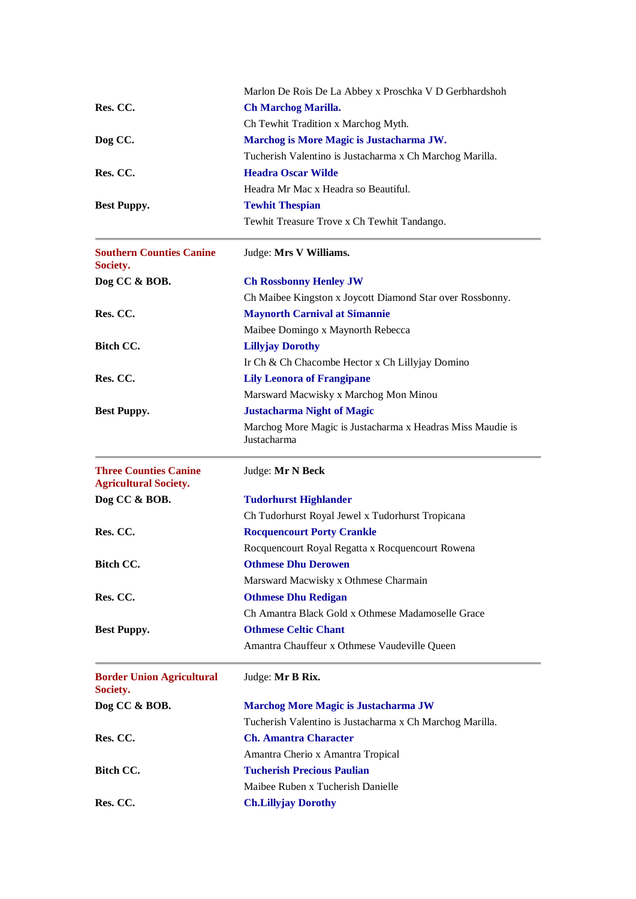|                                                              | Marlon De Rois De La Abbey x Proschka V D Gerbhardshoh                    |
|--------------------------------------------------------------|---------------------------------------------------------------------------|
| Res. CC.                                                     | <b>Ch Marchog Marilla.</b>                                                |
|                                                              | Ch Tewhit Tradition x Marchog Myth.                                       |
| Dog CC.                                                      | Marchog is More Magic is Justacharma JW.                                  |
|                                                              | Tucherish Valentino is Justacharma x Ch Marchog Marilla.                  |
| Res. CC.                                                     | <b>Headra Oscar Wilde</b>                                                 |
|                                                              | Headra Mr Mac x Headra so Beautiful.                                      |
| <b>Best Puppy.</b>                                           | <b>Tewhit Thespian</b>                                                    |
|                                                              | Tewhit Treasure Trove x Ch Tewhit Tandango.                               |
| <b>Southern Counties Canine</b><br>Society.                  | Judge: Mrs V Williams.                                                    |
| Dog CC & BOB.                                                | <b>Ch Rossbonny Henley JW</b>                                             |
|                                                              | Ch Maibee Kingston x Joycott Diamond Star over Rossbonny.                 |
| Res. CC.                                                     | <b>Maynorth Carnival at Simannie</b>                                      |
|                                                              | Maibee Domingo x Maynorth Rebecca                                         |
| Bitch CC.                                                    | <b>Lillyjay Dorothy</b>                                                   |
|                                                              | Ir Ch & Ch Chacombe Hector x Ch Lillyjay Domino                           |
| Res. CC.                                                     | <b>Lily Leonora of Frangipane</b>                                         |
|                                                              | Marsward Macwisky x Marchog Mon Minou                                     |
| <b>Best Puppy.</b>                                           | <b>Justacharma Night of Magic</b>                                         |
|                                                              | Marchog More Magic is Justacharma x Headras Miss Maudie is<br>Justacharma |
| <b>Three Counties Canine</b><br><b>Agricultural Society.</b> | Judge: Mr N Beck                                                          |
| Dog CC & BOB.                                                | <b>Tudorhurst Highlander</b>                                              |
|                                                              | Ch Tudorhurst Royal Jewel x Tudorhurst Tropicana                          |
| Res. CC.                                                     | <b>Rocquencourt Porty Crankle</b>                                         |
|                                                              | Rocquencourt Royal Regatta x Rocquencourt Rowena                          |
| <b>Bitch CC.</b>                                             | <b>Othmese Dhu Derowen</b>                                                |
|                                                              | Marsward Macwisky x Othmese Charmain                                      |
| Res. CC.                                                     | <b>Othmese Dhu Redigan</b>                                                |
|                                                              | Ch Amantra Black Gold x Othmese Madamoselle Grace                         |
| <b>Best Puppy.</b>                                           | <b>Othmese Celtic Chant</b>                                               |
|                                                              | Amantra Chauffeur x Othmese Vaudeville Queen                              |
| <b>Border Union Agricultural</b><br>Society.                 | Judge: Mr B Rix.                                                          |
| Dog CC & BOB.                                                | <b>Marchog More Magic is Justacharma JW</b>                               |
|                                                              | Tucherish Valentino is Justacharma x Ch Marchog Marilla.                  |
| Res. CC.                                                     | <b>Ch. Amantra Character</b>                                              |
|                                                              | Amantra Cherio x Amantra Tropical                                         |
| Bitch CC.                                                    | <b>Tucherish Precious Paulian</b>                                         |
|                                                              | Maibee Ruben x Tucherish Danielle                                         |
| Res. CC.                                                     | <b>Ch.Lillyjay Dorothy</b>                                                |
|                                                              |                                                                           |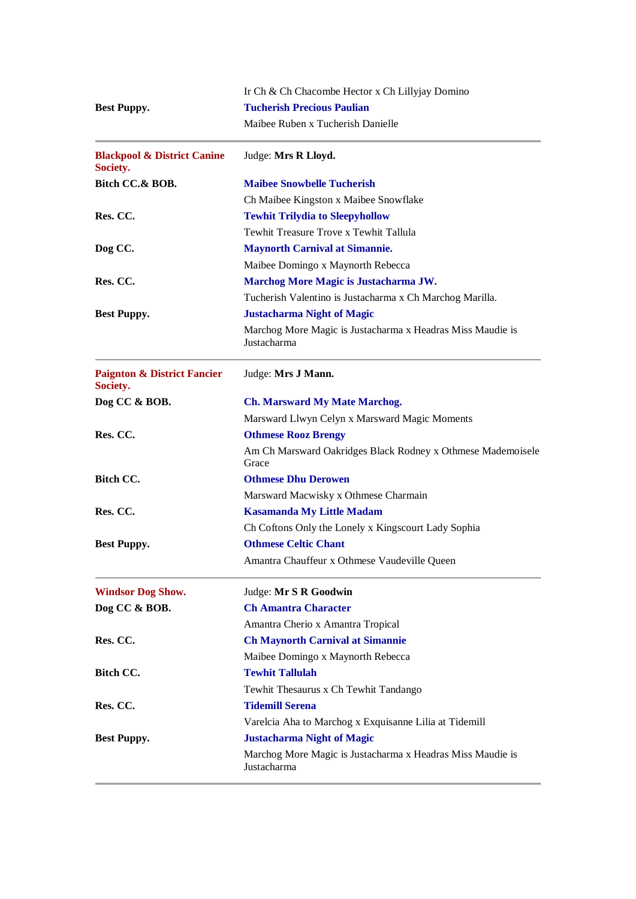|                                                    | Ir Ch & Ch Chacombe Hector x Ch Lillyjay Domino                           |
|----------------------------------------------------|---------------------------------------------------------------------------|
| <b>Best Puppy.</b>                                 | <b>Tucherish Precious Paulian</b>                                         |
|                                                    | Maibee Ruben x Tucherish Danielle                                         |
| <b>Blackpool &amp; District Canine</b><br>Society. | Judge: Mrs R Lloyd.                                                       |
| Bitch CC.& BOB.                                    | <b>Maibee Snowbelle Tucherish</b>                                         |
|                                                    | Ch Maibee Kingston x Maibee Snowflake                                     |
| Res. CC.                                           | <b>Tewhit Trilydia to Sleepyhollow</b>                                    |
|                                                    | Tewhit Treasure Trove x Tewhit Tallula                                    |
| Dog CC.                                            | <b>Maynorth Carnival at Simannie.</b>                                     |
|                                                    | Maibee Domingo x Maynorth Rebecca                                         |
| Res. CC.                                           | Marchog More Magic is Justacharma JW.                                     |
|                                                    | Tucherish Valentino is Justacharma x Ch Marchog Marilla.                  |
| <b>Best Puppy.</b>                                 | <b>Justacharma Night of Magic</b>                                         |
|                                                    | Marchog More Magic is Justacharma x Headras Miss Maudie is<br>Justacharma |
| <b>Paignton &amp; District Fancier</b><br>Society. | Judge: Mrs J Mann.                                                        |
| Dog CC & BOB.                                      | <b>Ch. Marsward My Mate Marchog.</b>                                      |
|                                                    | Marsward Llwyn Celyn x Marsward Magic Moments                             |
| Res. CC.                                           | <b>Othmese Rooz Brengy</b>                                                |
|                                                    | Am Ch Marsward Oakridges Black Rodney x Othmese Mademoisele<br>Grace      |
| Bitch CC.                                          | <b>Othmese Dhu Derowen</b>                                                |
|                                                    | Marsward Macwisky x Othmese Charmain                                      |
| Res. CC.                                           | <b>Kasamanda My Little Madam</b>                                          |
|                                                    | Ch Coftons Only the Lonely x Kingscourt Lady Sophia                       |
| <b>Best Puppy.</b>                                 | <b>Othmese Celtic Chant</b>                                               |
|                                                    | Amantra Chauffeur x Othmese Vaudeville Queen                              |
| <b>Windsor Dog Show.</b>                           | Judge: Mr S R Goodwin                                                     |
| Dog CC & BOB.                                      | <b>Ch Amantra Character</b>                                               |
|                                                    | Amantra Cherio x Amantra Tropical                                         |
| Res. CC.                                           | <b>Ch Maynorth Carnival at Simannie</b>                                   |
|                                                    | Maibee Domingo x Maynorth Rebecca                                         |
| Bitch CC.                                          | <b>Tewhit Tallulah</b>                                                    |
|                                                    | Tewhit Thesaurus x Ch Tewhit Tandango                                     |
| Res. CC.                                           | <b>Tidemill Serena</b>                                                    |
|                                                    | Varelcia Aha to Marchog x Exquisanne Lilia at Tidemill                    |
| <b>Best Puppy.</b>                                 | <b>Justacharma Night of Magic</b>                                         |
|                                                    | Marchog More Magic is Justacharma x Headras Miss Maudie is<br>Justacharma |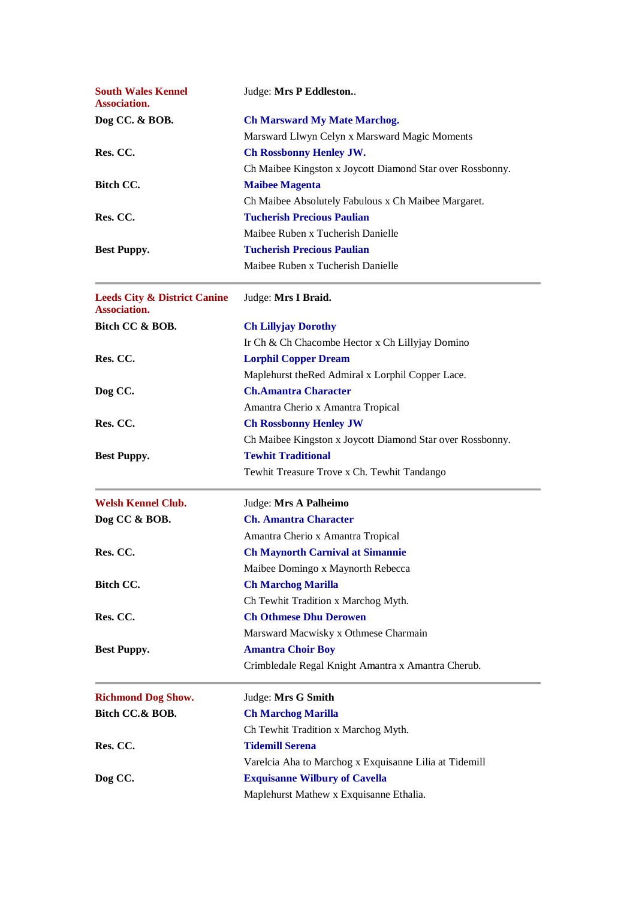| <b>South Wales Kennel</b><br><b>Association.</b>               | Judge: Mrs P Eddleston                                    |
|----------------------------------------------------------------|-----------------------------------------------------------|
| Dog CC. & BOB.                                                 | <b>Ch Marsward My Mate Marchog.</b>                       |
|                                                                | Marsward Llwyn Celyn x Marsward Magic Moments             |
| Res. CC.                                                       | <b>Ch Rossbonny Henley JW.</b>                            |
|                                                                | Ch Maibee Kingston x Joycott Diamond Star over Rossbonny. |
| <b>Bitch CC.</b>                                               | <b>Maibee Magenta</b>                                     |
|                                                                | Ch Maibee Absolutely Fabulous x Ch Maibee Margaret.       |
| Res. CC.                                                       | <b>Tucherish Precious Paulian</b>                         |
|                                                                | Maibee Ruben x Tucherish Danielle                         |
| <b>Best Puppy.</b>                                             | <b>Tucherish Precious Paulian</b>                         |
|                                                                | Maibee Ruben x Tucherish Danielle                         |
| <b>Leeds City &amp; District Canine</b><br><b>Association.</b> | Judge: Mrs I Braid.                                       |
| Bitch CC & BOB.                                                | <b>Ch Lillyjay Dorothy</b>                                |
|                                                                | Ir Ch & Ch Chacombe Hector x Ch Lillyjay Domino           |
| Res. CC.                                                       | <b>Lorphil Copper Dream</b>                               |
|                                                                | Maplehurst theRed Admiral x Lorphil Copper Lace.          |
| Dog CC.                                                        | <b>Ch.Amantra Character</b>                               |
|                                                                | Amantra Cherio x Amantra Tropical                         |
| Res. CC.                                                       | <b>Ch Rossbonny Henley JW</b>                             |
|                                                                | Ch Maibee Kingston x Joycott Diamond Star over Rossbonny. |
| <b>Best Puppy.</b>                                             | <b>Tewhit Traditional</b>                                 |
|                                                                | Tewhit Treasure Trove x Ch. Tewhit Tandango               |
| <b>Welsh Kennel Club.</b>                                      | Judge: Mrs A Palheimo                                     |
| Dog CC & BOB.                                                  | <b>Ch. Amantra Character</b>                              |
|                                                                | Amantra Cherio x Amantra Tropical                         |
| Res. CC.                                                       | <b>Ch Maynorth Carnival at Simannie</b>                   |
|                                                                | Maibee Domingo x Maynorth Rebecca                         |
| Bitch CC.                                                      | <b>Ch Marchog Marilla</b>                                 |
|                                                                | Ch Tewhit Tradition x Marchog Myth.                       |
| Res. CC.                                                       | <b>Ch Othmese Dhu Derowen</b>                             |
|                                                                | Marsward Macwisky x Othmese Charmain                      |
| <b>Best Puppy.</b>                                             | <b>Amantra Choir Boy</b>                                  |
|                                                                | Crimbledale Regal Knight Amantra x Amantra Cherub.        |
| <b>Richmond Dog Show.</b>                                      | Judge: Mrs G Smith                                        |
| Bitch CC.& BOB.                                                | <b>Ch Marchog Marilla</b>                                 |
|                                                                | Ch Tewhit Tradition x Marchog Myth.                       |
| Res. CC.                                                       | <b>Tidemill Serena</b>                                    |
|                                                                | Varelcia Aha to Marchog x Exquisanne Lilia at Tidemill    |
| Dog CC.                                                        | <b>Exquisanne Wilbury of Cavella</b>                      |
|                                                                | Maplehurst Mathew x Exquisanne Ethalia.                   |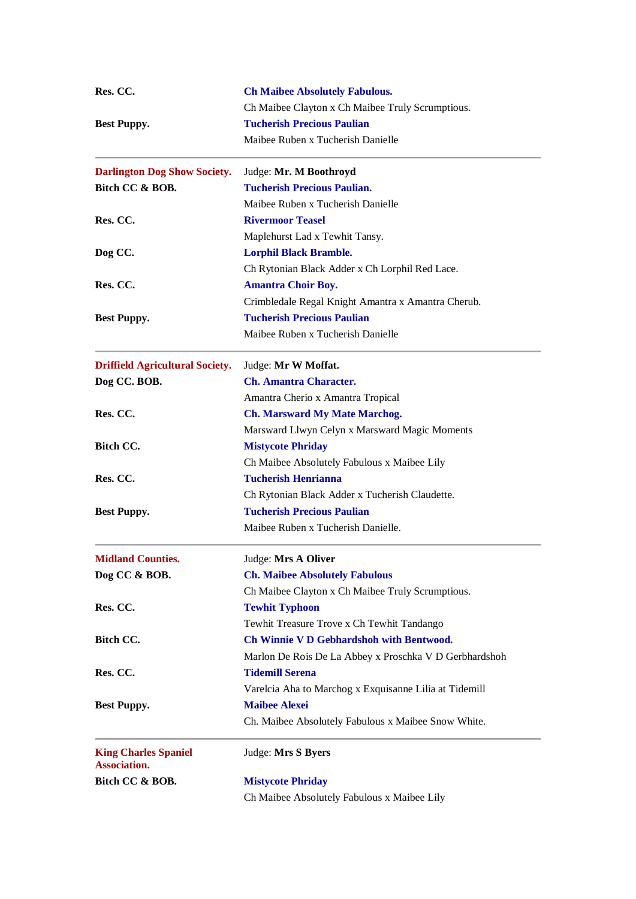| Res. CC.                                    | <b>Ch Maibee Absolutely Fabulous.</b>                  |
|---------------------------------------------|--------------------------------------------------------|
|                                             | Ch Maibee Clayton x Ch Maibee Truly Scrumptious.       |
| <b>Best Puppy.</b>                          | <b>Tucherish Precious Paulian</b>                      |
|                                             | Maibee Ruben x Tucherish Danielle                      |
| <b>Darlington Dog Show Society.</b>         | Judge: Mr. M Boothroyd                                 |
| Bitch CC & BOB.                             | <b>Tucherish Precious Paulian.</b>                     |
|                                             | Maibee Ruben x Tucherish Danielle                      |
| Res. CC.                                    | <b>Rivermoor Teasel</b>                                |
|                                             | Maplehurst Lad x Tewhit Tansy.                         |
| Dog CC.                                     | <b>Lorphil Black Bramble.</b>                          |
|                                             | Ch Rytonian Black Adder x Ch Lorphil Red Lace.         |
| Res. CC.                                    | <b>Amantra Choir Boy.</b>                              |
|                                             | Crimbledale Regal Knight Amantra x Amantra Cherub.     |
| <b>Best Puppy.</b>                          | <b>Tucherish Precious Paulian</b>                      |
|                                             | Maibee Ruben x Tucherish Danielle                      |
| <b>Driffield Agricultural Society.</b>      | Judge: Mr W Moffat.                                    |
| Dog CC. BOB.                                | <b>Ch. Amantra Character.</b>                          |
|                                             | Amantra Cherio x Amantra Tropical                      |
| Res. CC.                                    | <b>Ch. Marsward My Mate Marchog.</b>                   |
|                                             | Marsward Llwyn Celyn x Marsward Magic Moments          |
| Bitch CC.                                   | <b>Mistycote Phriday</b>                               |
|                                             | Ch Maibee Absolutely Fabulous x Maibee Lily            |
| Res. CC.                                    | <b>Tucherish Henrianna</b>                             |
|                                             | Ch Rytonian Black Adder x Tucherish Claudette.         |
|                                             | <b>Tucherish Precious Paulian</b>                      |
| <b>Best Puppy.</b>                          |                                                        |
|                                             | Maibee Ruben x Tucherish Danielle.                     |
| <b>Midland Counties.</b>                    | Judge: Mrs A Oliver                                    |
| Dog CC & BOB.                               | <b>Ch. Maibee Absolutely Fabulous</b>                  |
|                                             | Ch Maibee Clayton x Ch Maibee Truly Scrumptious.       |
| Res. CC.                                    | <b>Tewhit Typhoon</b>                                  |
|                                             | Tewhit Treasure Trove x Ch Tewhit Tandango             |
| Bitch CC.                                   | Ch Winnie V D Gebhardshoh with Bentwood.               |
|                                             | Marlon De Rois De La Abbey x Proschka V D Gerbhardshoh |
| Res. CC.                                    | <b>Tidemill Serena</b>                                 |
|                                             | Varelcia Aha to Marchog x Exquisanne Lilia at Tidemill |
| <b>Best Puppy.</b>                          | <b>Maibee Alexei</b>                                   |
|                                             | Ch. Maibee Absolutely Fabulous x Maibee Snow White.    |
| <b>King Charles Spaniel</b><br>Association. | Judge: Mrs S Byers                                     |
| Bitch CC & BOB.                             | <b>Mistycote Phriday</b>                               |
|                                             | Ch Maibee Absolutely Fabulous x Maibee Lily            |